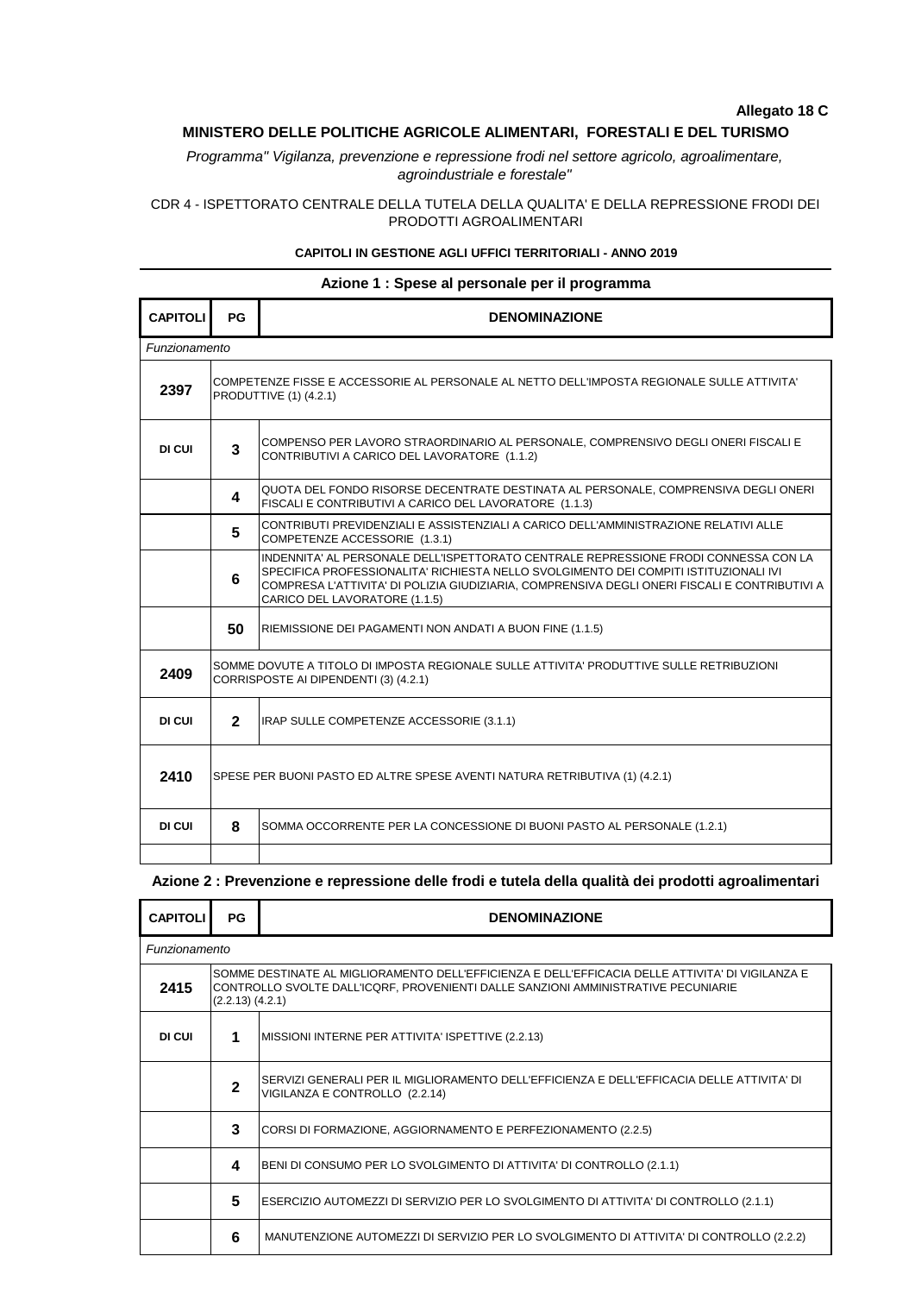# **Allegato 18 C**

## **MINISTERO DELLE POLITICHE AGRICOLE ALIMENTARI, FORESTALI E DEL TURISMO**

*Programma" Vigilanza, prevenzione e repressione frodi nel settore agricolo, agroalimentare, agroindustriale e forestale"*

## CDR 4 - ISPETTORATO CENTRALE DELLA TUTELA DELLA QUALITA' E DELLA REPRESSIONE FRODI DEI PRODOTTI AGROALIMENTARI

### **CAPITOLI IN GESTIONE AGLI UFFICI TERRITORIALI - ANNO 2019**

| Azione 1 : Spese al personale per il programma |                                                                                                                                   |                                                                                                                                                                                                                                                                                                               |  |  |  |  |
|------------------------------------------------|-----------------------------------------------------------------------------------------------------------------------------------|---------------------------------------------------------------------------------------------------------------------------------------------------------------------------------------------------------------------------------------------------------------------------------------------------------------|--|--|--|--|
| <b>CAPITOLI</b>                                | PG                                                                                                                                | <b>DENOMINAZIONE</b>                                                                                                                                                                                                                                                                                          |  |  |  |  |
| Funzionamento                                  |                                                                                                                                   |                                                                                                                                                                                                                                                                                                               |  |  |  |  |
| 2397                                           |                                                                                                                                   | COMPETENZE FISSE E ACCESSORIE AL PERSONALE AL NETTO DELL'IMPOSTA REGIONALE SULLE ATTIVITA'<br>PRODUTTIVE (1) (4.2.1)                                                                                                                                                                                          |  |  |  |  |
| DI CUI                                         | 3                                                                                                                                 | COMPENSO PER LAVORO STRAORDINARIO AL PERSONALE, COMPRENSIVO DEGLI ONERI FISCALI E<br>CONTRIBUTIVI A CARICO DEL LAVORATORE (1.1.2)                                                                                                                                                                             |  |  |  |  |
|                                                | 4                                                                                                                                 | QUOTA DEL FONDO RISORSE DECENTRATE DESTINATA AL PERSONALE, COMPRENSIVA DEGLI ONERI<br>FISCALI E CONTRIBUTIVI A CARICO DEL LAVORATORE (1.1.3)                                                                                                                                                                  |  |  |  |  |
|                                                | 5                                                                                                                                 | CONTRIBUTI PREVIDENZIALI E ASSISTENZIALI A CARICO DELL'AMMINISTRAZIONE RELATIVI ALLE<br>COMPETENZE ACCESSORIE (1.3.1)                                                                                                                                                                                         |  |  |  |  |
|                                                | 6                                                                                                                                 | INDENNITA' AL PERSONALE DELL'ISPETTORATO CENTRALE REPRESSIONE FRODI CONNESSA CON LA<br>SPECIFICA PROFESSIONALITA' RICHIESTA NELLO SVOLGIMENTO DEI COMPITI ISTITUZIONALI IVI<br>COMPRESA L'ATTIVITA' DI POLIZIA GIUDIZIARIA, COMPRENSIVA DEGLI ONERI FISCALI E CONTRIBUTIVI A<br>CARICO DEL LAVORATORE (1.1.5) |  |  |  |  |
|                                                | 50                                                                                                                                | RIEMISSIONE DEI PAGAMENTI NON ANDATI A BUON FINE (1.1.5)                                                                                                                                                                                                                                                      |  |  |  |  |
| 2409                                           | SOMME DOVUTE A TITOLO DI IMPOSTA REGIONALE SULLE ATTIVITA' PRODUTTIVE SULLE RETRIBUZIONI<br>CORRISPOSTE AI DIPENDENTI (3) (4.2.1) |                                                                                                                                                                                                                                                                                                               |  |  |  |  |
| DI CUI                                         | $\overline{2}$                                                                                                                    | IRAP SULLE COMPETENZE ACCESSORIE (3.1.1)                                                                                                                                                                                                                                                                      |  |  |  |  |
| 2410                                           | SPESE PER BUONI PASTO ED ALTRE SPESE AVENTI NATURA RETRIBUTIVA (1) (4.2.1)                                                        |                                                                                                                                                                                                                                                                                                               |  |  |  |  |
| DI CUI                                         | 8                                                                                                                                 | SOMMA OCCORRENTE PER LA CONCESSIONE DI BUONI PASTO AL PERSONALE (1.2.1)                                                                                                                                                                                                                                       |  |  |  |  |
|                                                |                                                                                                                                   |                                                                                                                                                                                                                                                                                                               |  |  |  |  |

# **Azione 2 : Prevenzione e repressione delle frodi e tutela della qualità dei prodotti agroalimentari**

| <b>CAPITOLI</b> | PG           | <b>DENOMINAZIONE</b>                                                                                                                                                                                          |  |  |  |  |
|-----------------|--------------|---------------------------------------------------------------------------------------------------------------------------------------------------------------------------------------------------------------|--|--|--|--|
| Funzionamento   |              |                                                                                                                                                                                                               |  |  |  |  |
| 2415            |              | SOMME DESTINATE AL MIGLIORAMENTO DELL'EFFICIENZA E DELL'EFFICACIA DELLE ATTIVITA' DI VIGILANZA E<br>CONTROLLO SVOLTE DALL'ICQRF, PROVENIENTI DALLE SANZIONI AMMINISTRATIVE PECUNIARIE<br>$(2.2.13)$ $(4.2.1)$ |  |  |  |  |
| DI CUI          | 1            | MISSIONI INTERNE PER ATTIVITA' ISPETTIVE (2.2.13)                                                                                                                                                             |  |  |  |  |
|                 | $\mathbf{2}$ | SERVIZI GENERALI PER IL MIGLIORAMENTO DELL'EFFICIENZA E DELL'EFFICACIA DELLE ATTIVITA' DI<br>VIGILANZA E CONTROLLO (2.2.14)                                                                                   |  |  |  |  |
|                 | 3            | CORSI DI FORMAZIONE, AGGIORNAMENTO E PERFEZIONAMENTO (2.2.5)                                                                                                                                                  |  |  |  |  |
|                 | 4            | BENI DI CONSUMO PER LO SVOLGIMENTO DI ATTIVITA' DI CONTROLLO (2.1.1)                                                                                                                                          |  |  |  |  |
|                 | 5            | ESERCIZIO AUTOMEZZI DI SERVIZIO PER LO SVOLGIMENTO DI ATTIVITA' DI CONTROLLO (2.1.1)                                                                                                                          |  |  |  |  |
|                 | 6            | MANUTENZIONE AUTOMEZZI DI SERVIZIO PER LO SVOLGIMENTO DI ATTIVITA' DI CONTROLLO (2.2.2)                                                                                                                       |  |  |  |  |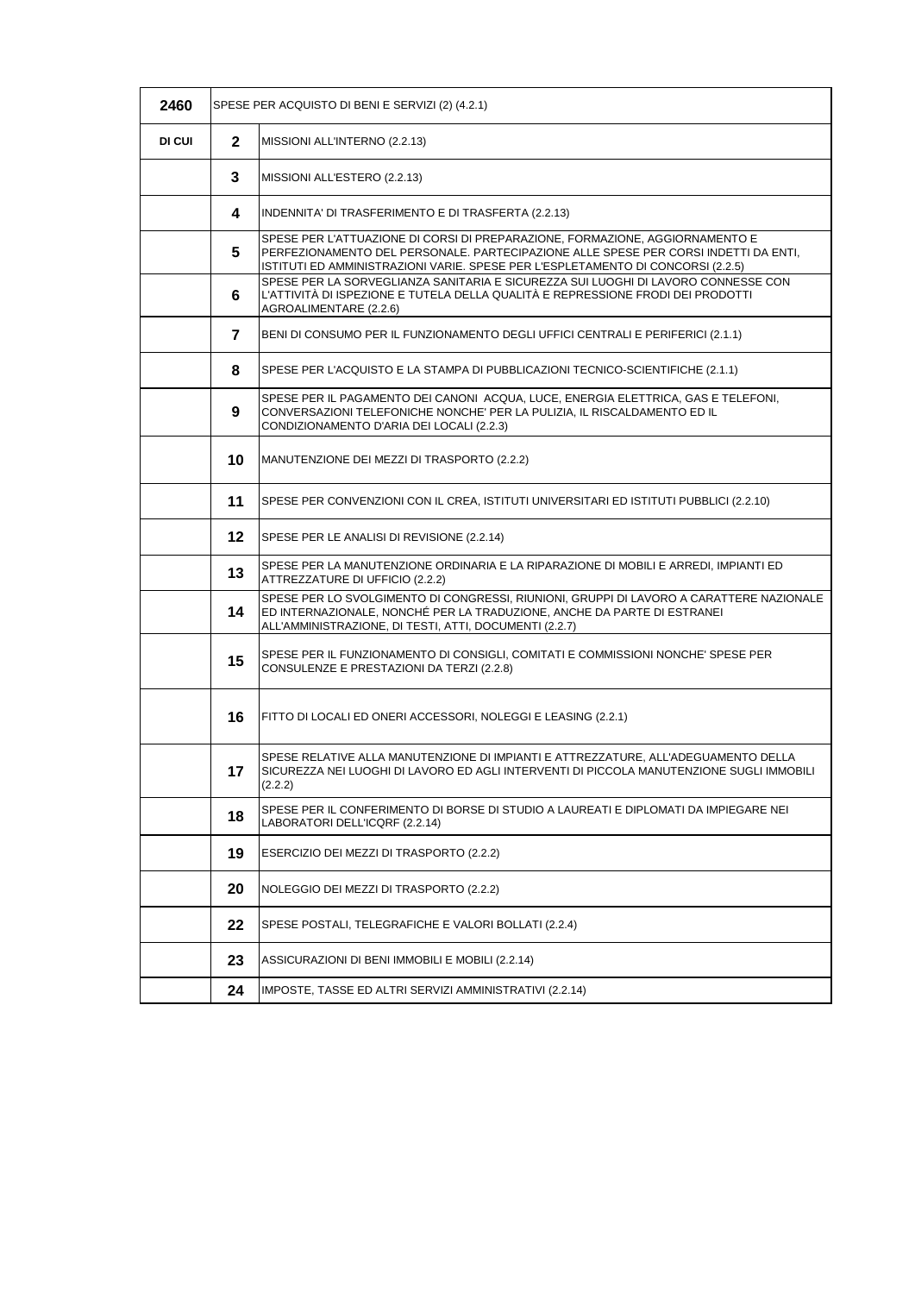| 2460   |                | SPESE PER ACQUISTO DI BENI E SERVIZI (2) (4.2.1)                                                                                                                                                                                                       |
|--------|----------------|--------------------------------------------------------------------------------------------------------------------------------------------------------------------------------------------------------------------------------------------------------|
| DI CUI | $\mathbf{2}$   | MISSIONI ALL'INTERNO (2.2.13)                                                                                                                                                                                                                          |
|        | 3              | MISSIONI ALL'ESTERO (2.2.13)                                                                                                                                                                                                                           |
|        | 4              | INDENNITA' DI TRASFERIMENTO E DI TRASFERTA (2.2.13)                                                                                                                                                                                                    |
|        | 5              | SPESE PER L'ATTUAZIONE DI CORSI DI PREPARAZIONE, FORMAZIONE, AGGIORNAMENTO E<br>PERFEZIONAMENTO DEL PERSONALE. PARTECIPAZIONE ALLE SPESE PER CORSI INDETTI DA ENTI,<br>ISTITUTI ED AMMINISTRAZIONI VARIE. SPESE PER L'ESPLETAMENTO DI CONCORSI (2.2.5) |
|        | 6              | SPESE PER LA SORVEGLIANZA SANITARIA E SICUREZZA SUI LUOGHI DI LAVORO CONNESSE CON<br>L'ATTIVITÀ DI ISPEZIONE E TUTELA DELLA QUALITÀ E REPRESSIONE FRODI DEI PRODOTTI<br>AGROALIMENTARE (2.2.6)                                                         |
|        | $\overline{7}$ | BENI DI CONSUMO PER IL FUNZIONAMENTO DEGLI UFFICI CENTRALI E PERIFERICI (2.1.1)                                                                                                                                                                        |
|        | 8              | SPESE PER L'ACQUISTO E LA STAMPA DI PUBBLICAZIONI TECNICO-SCIENTIFICHE (2.1.1)                                                                                                                                                                         |
|        | 9              | SPESE PER IL PAGAMENTO DEI CANONI ACQUA, LUCE, ENERGIA ELETTRICA, GAS E TELEFONI,<br>CONVERSAZIONI TELEFONICHE NONCHE' PER LA PULIZIA, IL RISCALDAMENTO ED IL<br>CONDIZIONAMENTO D'ARIA DEI LOCALI (2.2.3)                                             |
|        | 10             | MANUTENZIONE DEI MEZZI DI TRASPORTO (2.2.2)                                                                                                                                                                                                            |
|        | 11             | SPESE PER CONVENZIONI CON IL CREA, ISTITUTI UNIVERSITARI ED ISTITUTI PUBBLICI (2.2.10)                                                                                                                                                                 |
|        | $12 \,$        | SPESE PER LE ANALISI DI REVISIONE (2.2.14)                                                                                                                                                                                                             |
|        | 13             | SPESE PER LA MANUTENZIONE ORDINARIA E LA RIPARAZIONE DI MOBILI E ARREDI, IMPIANTI ED<br>ATTREZZATURE DI UFFICIO (2.2.2)                                                                                                                                |
|        | 14             | SPESE PER LO SVOLGIMENTO DI CONGRESSI, RIUNIONI, GRUPPI DI LAVORO A CARATTERE NAZIONALE<br>ED INTERNAZIONALE, NONCHÉ PER LA TRADUZIONE, ANCHE DA PARTE DI ESTRANEI<br>ALL'AMMINISTRAZIONE, DI TESTI, ATTI, DOCUMENTI (2.2.7)                           |
|        | 15             | SPESE PER IL FUNZIONAMENTO DI CONSIGLI, COMITATI E COMMISSIONI NONCHE' SPESE PER<br>CONSULENZE E PRESTAZIONI DA TERZI (2.2.8)                                                                                                                          |
|        | 16             | FITTO DI LOCALI ED ONERI ACCESSORI, NOLEGGI E LEASING (2.2.1)                                                                                                                                                                                          |
|        | 17             | SPESE RELATIVE ALLA MANUTENZIONE DI IMPIANTI E ATTREZZATURE. ALL'ADEGUAMENTO DELLA<br>SICUREZZA NEI LUOGHI DI LAVORO ED AGLI INTERVENTI DI PICCOLA MANUTENZIONE SUGLI IMMOBILI<br>(2.2.2)                                                              |
|        | 18             | SPESE PER IL CONFERIMENTO DI BORSE DI STUDIO A LAUREATI E DIPLOMATI DA IMPIEGARE NEI<br>LABORATORI DELL'ICQRF (2.2.14)                                                                                                                                 |
|        | 19             | ESERCIZIO DEI MEZZI DI TRASPORTO (2.2.2)                                                                                                                                                                                                               |
|        | 20             | NOLEGGIO DEI MEZZI DI TRASPORTO (2.2.2)                                                                                                                                                                                                                |
|        | 22             | SPESE POSTALI, TELEGRAFICHE E VALORI BOLLATI (2.2.4)                                                                                                                                                                                                   |
|        | 23             | ASSICURAZIONI DI BENI IMMOBILI E MOBILI (2.2.14)                                                                                                                                                                                                       |
|        | 24             | IMPOSTE, TASSE ED ALTRI SERVIZI AMMINISTRATIVI (2.2.14)                                                                                                                                                                                                |